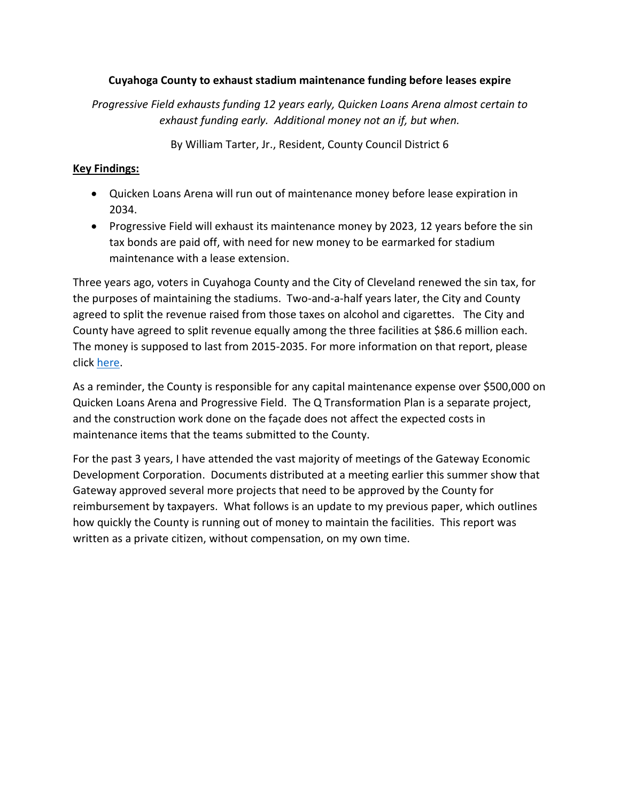### **Cuyahoga County to exhaust stadium maintenance funding before leases expire**

*Progressive Field exhausts funding 12 years early, Quicken Loans Arena almost certain to exhaust funding early. Additional money not an if, but when.*

By William Tarter, Jr., Resident, County Council District 6

### **Key Findings:**

- Quicken Loans Arena will run out of maintenance money before lease expiration in 2034.
- Progressive Field will exhaust its maintenance money by 2023, 12 years before the sin tax bonds are paid off, with need for new money to be earmarked for stadium maintenance with a lease extension.

Three years ago, voters in Cuyahoga County and the City of Cleveland renewed the sin tax, for the purposes of maintaining the stadiums. Two-and-a-half years later, the City and County agreed to split the revenue raised from those taxes on alcohol and cigarettes. The City and County have agreed to split revenue equally among the three facilities at \$86.6 million each. The money is supposed to last from 2015-2035. For more information on that report, please click [here.](http://www.willtarter.com/resources/Final%20IX%20-%20Long%20Term%20Projections%20of%20Lease%20Extension.pdf)

As a reminder, the County is responsible for any capital maintenance expense over \$500,000 on Quicken Loans Arena and Progressive Field. The Q Transformation Plan is a separate project, and the construction work done on the façade does not affect the expected costs in maintenance items that the teams submitted to the County.

For the past 3 years, I have attended the vast majority of meetings of the Gateway Economic Development Corporation. Documents distributed at a meeting earlier this summer show that Gateway approved several more projects that need to be approved by the County for reimbursement by taxpayers. What follows is an update to my previous paper, which outlines how quickly the County is running out of money to maintain the facilities. This report was written as a private citizen, without compensation, on my own time.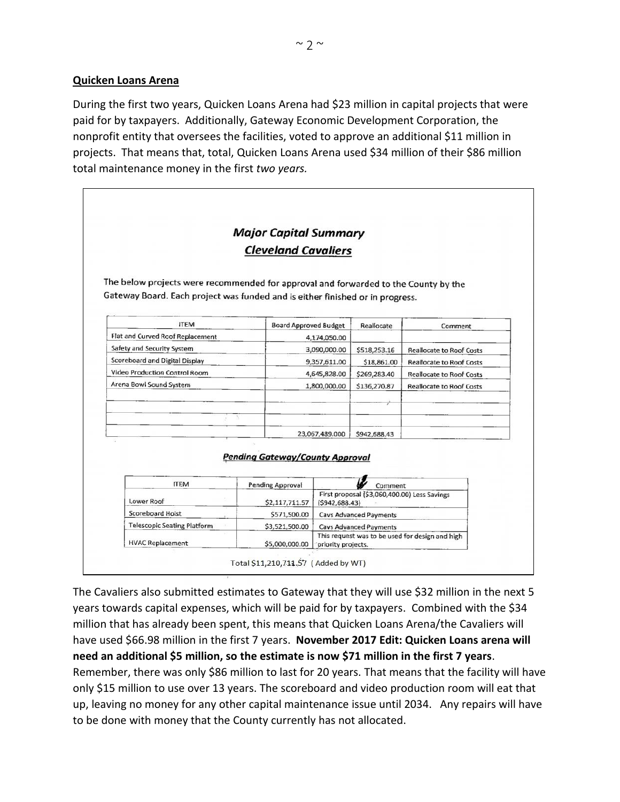#### **Quicken Loans Arena**

During the first two years, Quicken Loans Arena had \$23 million in capital projects that were paid for by taxpayers. Additionally, Gateway Economic Development Corporation, the nonprofit entity that oversees the facilities, voted to approve an additional \$11 million in projects. That means that, total, Quicken Loans Arena used \$34 million of their \$86 million total maintenance money in the first *two years.*

|                                                                                     | <b>Major Capital Summary</b>           |                                                                                         |                                              |                                 |
|-------------------------------------------------------------------------------------|----------------------------------------|-----------------------------------------------------------------------------------------|----------------------------------------------|---------------------------------|
|                                                                                     | <b>Cleveland Cavaliers</b>             |                                                                                         |                                              |                                 |
|                                                                                     |                                        |                                                                                         |                                              |                                 |
| The below projects were recommended for approval and forwarded to the County by the |                                        |                                                                                         |                                              |                                 |
| Gateway Board. Each project was funded and is either finished or in progress.       |                                        |                                                                                         |                                              |                                 |
|                                                                                     |                                        |                                                                                         |                                              |                                 |
| <b>ITEM</b>                                                                         | <b>Board Approved Budget</b>           |                                                                                         | Reallocate                                   | Comment                         |
| Flat and Curved Roof Replacement                                                    |                                        | 4,174,050.00                                                                            |                                              |                                 |
| Safety and Security System                                                          |                                        | 3,090,000.00                                                                            | \$518,253.16                                 | <b>Reallocate to Roof Costs</b> |
| Scoreboard and Digital Display                                                      |                                        | 9,357,611.00                                                                            | \$18,861.00                                  | <b>Reallocate to Roof Costs</b> |
| Video Production Control Room                                                       |                                        | 4,645,828.00                                                                            | \$269,283.40                                 | <b>Reallocate to Roof Costs</b> |
| Arena Bowl Sound System                                                             |                                        | 1,800,000.00                                                                            | \$136,270.87                                 | <b>Reallocate to Roof Costs</b> |
|                                                                                     |                                        |                                                                                         |                                              |                                 |
|                                                                                     |                                        |                                                                                         |                                              |                                 |
|                                                                                     |                                        | 23,067,489.000                                                                          | \$942,688.43                                 |                                 |
|                                                                                     |                                        |                                                                                         |                                              |                                 |
|                                                                                     | <b>Pending Gateway/County Approval</b> |                                                                                         |                                              |                                 |
| <b>ITEM</b>                                                                         | Pending Approval                       |                                                                                         | Comment                                      |                                 |
|                                                                                     |                                        |                                                                                         | First proposal (\$3,060,400.00) Less Savings |                                 |
| Lower Roof                                                                          | \$2,117,711.57                         | (5942, 688.43)                                                                          |                                              |                                 |
| Scoreboard Hoist                                                                    | \$571,500.00                           | <b>Cavs Advanced Payments</b>                                                           |                                              |                                 |
| <b>Telescopic Seating Platform</b>                                                  | \$3,521,500.00                         | <b>Cavs Advanced Payments</b>                                                           |                                              |                                 |
|                                                                                     |                                        | This request was to be used for design and high<br>\$5,000,000.00<br>priority projects. |                                              |                                 |

The Cavaliers also submitted estimates to Gateway that they will use \$32 million in the next 5 years towards capital expenses, which will be paid for by taxpayers. Combined with the \$34 million that has already been spent, this means that Quicken Loans Arena/the Cavaliers will have used \$66.98 million in the first 7 years. **November 2017 Edit: Quicken Loans arena will need an additional \$5 million, so the estimate is now \$71 million in the first 7 years**. Remember, there was only \$86 million to last for 20 years. That means that the facility will have

only \$15 million to use over 13 years. The scoreboard and video production room will eat that up, leaving no money for any other capital maintenance issue until 2034. Any repairs will have to be done with money that the County currently has not allocated.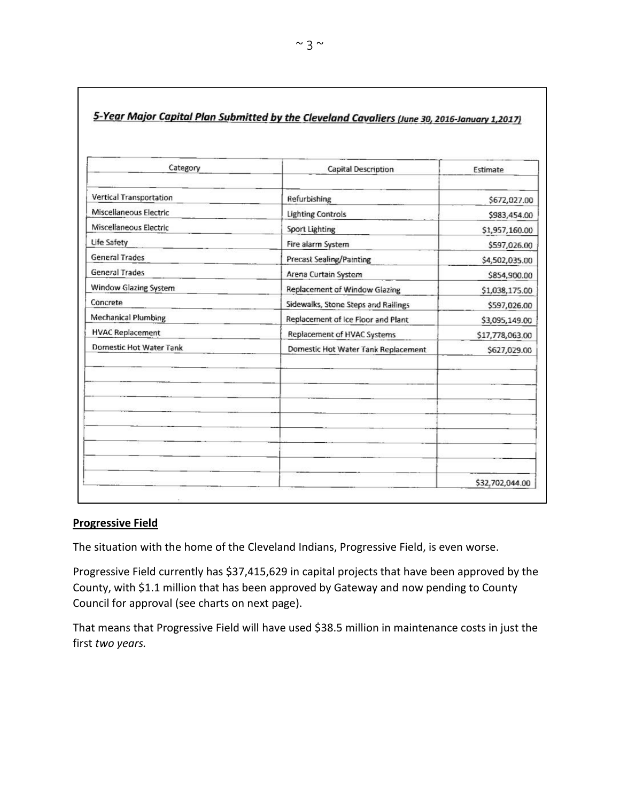| Category                   | Capital Description                 | Estimate        |
|----------------------------|-------------------------------------|-----------------|
| Vertical Transportation    | Refurbishing                        | \$672,027.00    |
| Miscellaneous Electric     | <b>Lighting Controls</b>            | \$983,454.00    |
| Miscellaneous Electric     | <b>Sport Lighting</b>               | \$1,957,160.00  |
| Life Safety                | Fire alarm System                   | \$597,026.00    |
| <b>General Trades</b>      | <b>Precast Sealing/Painting</b>     | \$4,502,035.00  |
| <b>General Trades</b>      | Arena Curtain System                | \$854,900.00    |
| Window Glazing System      | Replacement of Window Glazing       | \$1,038,175.00  |
| Concrete                   | Sidewalks, Stone Steps and Railings | \$597,026.00    |
| <b>Mechanical Plumbing</b> | Replacement of Ice Floor and Plant  | \$3,095,149.00  |
| <b>HVAC Replacement</b>    | Replacement of HVAC Systems         | \$17,778,063.00 |
| Domestic Hot Water Tank    | Domestic Hot Water Tank Replacement | \$627,029.00    |
|                            |                                     |                 |
|                            |                                     |                 |
|                            |                                     |                 |
|                            |                                     |                 |
|                            |                                     | \$32,702,044.00 |

# 5-Year Major Capital Plan Submitted by the Cleveland Cavaliers (June 30, 2016-January 1,2017)

#### **Progressive Field**

The situation with the home of the Cleveland Indians, Progressive Field, is even worse.

Progressive Field currently has \$37,415,629 in capital projects that have been approved by the County, with \$1.1 million that has been approved by Gateway and now pending to County Council for approval (see charts on next page).

That means that Progressive Field will have used \$38.5 million in maintenance costs in just the first *two years.*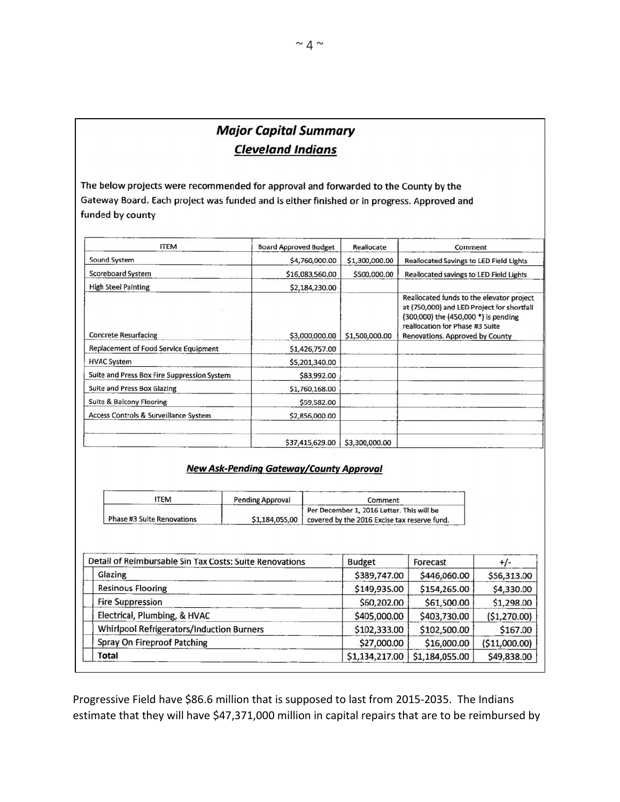# **Major Capital Summary Cleveland Indians**

The below projects were recommended for approval and forwarded to the County by the Gateway Board. Each project was funded and is either finished or in progress. Approved and funded by county

| <b>ITEM</b>                                 | <b>Board Approved Budget</b> | Reallocate     | Comment                                                                                                                                                                                               |
|---------------------------------------------|------------------------------|----------------|-------------------------------------------------------------------------------------------------------------------------------------------------------------------------------------------------------|
| Sound System                                | \$4,760,000.00               | \$1,300,000.00 | Reallocated Savings to LED Field Lights                                                                                                                                                               |
| <b>Scoreboard System</b>                    | \$16,083,560.00              | \$500,000.00   | Reallocated savings to LED Field Lights                                                                                                                                                               |
| <b>High Steel Painting</b>                  | \$2,184,230.00               |                |                                                                                                                                                                                                       |
| <b>Concrete Resurfacing</b>                 | \$3,000,000.00               | \$1,500,000.00 | Reallocated funds to the elevator project<br>at (750,000) and LED Project for shortfall<br>(300,000) the (450,000 *) is pending<br>reallocation for Phase #3 Suite<br>Renovations. Approved by County |
| Replacement of Food Service Equipment       | \$1,426,757.00               |                |                                                                                                                                                                                                       |
| <b>HVAC System</b>                          | \$5,201,340.00               |                |                                                                                                                                                                                                       |
| Suite and Press Box Fire Suppression System | \$83,992.00                  |                |                                                                                                                                                                                                       |
| Suite and Press Box Glazing                 | \$1,760,168.00               |                |                                                                                                                                                                                                       |
| Suite & Balcony Flooring                    | \$59,582.00                  |                |                                                                                                                                                                                                       |
| Access Controls & Surveillance System       | \$2,856,000.00               |                |                                                                                                                                                                                                       |
|                                             | \$37,415,629.00              | \$3,300,000.00 |                                                                                                                                                                                                       |

#### **New Ask-Pending Gateway/County Approval**

| TEM                               | Pending Approval | Comment                                                     |
|-----------------------------------|------------------|-------------------------------------------------------------|
|                                   |                  | Per December 1, 2016 Letter. This will be                   |
| <b>Phase #3 Suite Renovations</b> |                  | \$1,184,055,00 covered by the 2016 Excise tax reserve fund. |

| Detail of Reimbursable Sin Tax Costs: Suite Renovations | <b>Budget</b>  | Forecast       | $+/-$          |
|---------------------------------------------------------|----------------|----------------|----------------|
| Glazing                                                 | \$389,747.00   | \$446,060.00   | \$56,313.00    |
| <b>Resinous Flooring</b>                                | \$149,935.00   | \$154,265.00   | \$4,330.00     |
| <b>Fire Suppression</b>                                 | \$60,202.00    | \$61,500.00    | \$1,298.00     |
| Electrical, Plumbing, & HVAC                            | \$405,000.00   | \$403,730.00   | (\$1,270.00)   |
| Whirlpool Refrigerators/Induction Burners               | \$102,333.00   | \$102,500.00   | \$167.00       |
| Spray On Fireproof Patching                             | \$27,000.00    | \$16,000.00    | ( \$11,000.00) |
| Total                                                   | \$1,134,217.00 | \$1,184,055.00 | \$49,838.00    |

Progressive Field have \$86.6 million that is supposed to last from 2015-2035. The Indians estimate that they will have \$47,371,000 million in capital repairs that are to be reimbursed by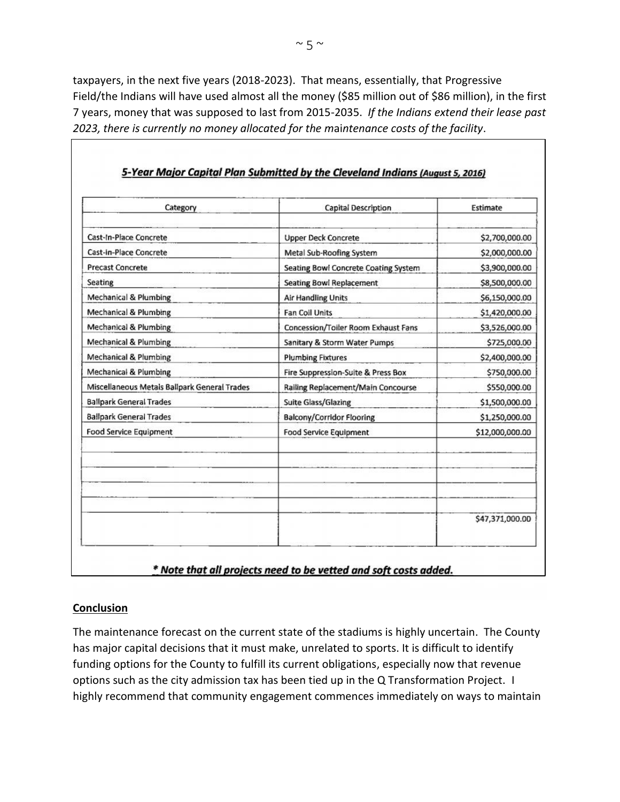taxpayers, in the next five years (2018-2023). That means, essentially, that Progressive Field/the Indians will have used almost all the money (\$85 million out of \$86 million), in the first 7 years, money that was supposed to last from 2015-2035. *If the Indians extend their lease past 2023, there is currently no money allocated for the m*ai*ntenance costs of the facility*.

| Category                                     | Capital Description                  | Estimate        |
|----------------------------------------------|--------------------------------------|-----------------|
| Cast-In-Place Concrete                       | <b>Upper Deck Concrete</b>           | \$2,700,000.00  |
| Cast-In-Place Concrete                       | Metal Sub-Roofing System             | \$2,000,000.00  |
| <b>Precast Concrete</b>                      | Seating Bowl Concrete Coating System | \$3,900,000.00  |
| Seating                                      | <b>Seating Bowl Replacement</b>      | \$8,500,000.00  |
| <b>Mechanical &amp; Plumbing</b>             | <b>Air Handling Units</b>            | \$6,150,000.00  |
| <b>Mechanical &amp; Plumbing</b>             | <b>Fan Coil Units</b>                | \$1,420,000.00  |
| Mechanical & Plumbing                        | Concession/Toiler Room Exhaust Fans  | \$3,526,000.00  |
| <b>Mechanical &amp; Plumbing</b>             | Sanitary & Storm Water Pumps         | \$725,000.00    |
| <b>Mechanical &amp; Plumbing</b>             | <b>Plumbing Fixtures</b>             | \$2,400,000.00  |
| Mechanical & Plumbing                        | Fire Suppression-Suite & Press Box   | \$750,000.00    |
| Miscellaneous Metals Ballpark General Trades | Railing Replacement/Main Concourse   | \$550,000.00    |
| <b>Ballpark General Trades</b>               | <b>Suite Glass/Glazing</b>           | \$1,500,000.00  |
| <b>Ballpark General Trades</b>               | <b>Balcony/Corridor Flooring</b>     | \$1,250,000.00  |
| <b>Food Service Equipment</b>                | <b>Food Service Equipment</b>        | \$12,000,000.00 |
|                                              |                                      |                 |
|                                              |                                      | \$47,371,000.00 |

### 5-Year Major Capital Plan Submitted by the Cleveland Indians (August 5, 2016)

\* Note that all projects need to be vetted and soft costs added.

## **Conclusion**

The maintenance forecast on the current state of the stadiums is highly uncertain. The County has major capital decisions that it must make, unrelated to sports. It is difficult to identify funding options for the County to fulfill its current obligations, especially now that revenue options such as the city admission tax has been tied up in the Q Transformation Project. I highly recommend that community engagement commences immediately on ways to maintain